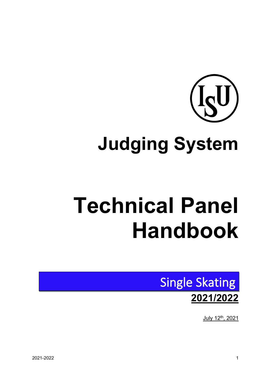

# **Judging System**

# **Technical Panel Handbook**



July 12th, 2021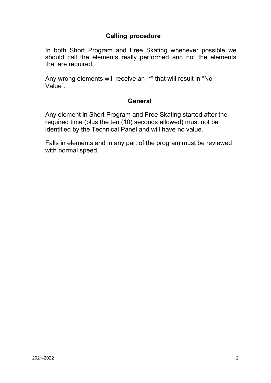# **Calling procedure**

In both Short Program and Free Skating whenever possible we should call the elements really performed and not the elements that are required.

Any wrong elements will receive an "\*" that will result in "No Value".

### **General**

Any element in Short Program and Free Skating started after the required time (plus the ten (10) seconds allowed) must not be identified by the Technical Panel and will have no value.

Falls in elements and in any part of the program must be reviewed with normal speed.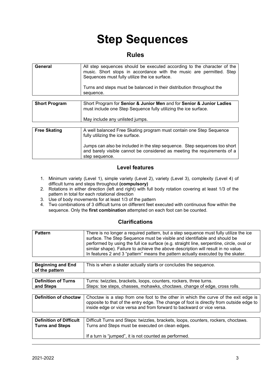# **Step Sequences**

### **Rules**

| General              | All step sequences should be executed according to the character of the<br>music. Short stops in accordance with the music are permitted. Step<br>Sequences must fully utilize the ice surface.<br>Turns and steps must be balanced in their distribution throughout the<br>sequence. |
|----------------------|---------------------------------------------------------------------------------------------------------------------------------------------------------------------------------------------------------------------------------------------------------------------------------------|
| <b>Short Program</b> | Short Program for Senior & Junior Men and for Senior & Junior Ladies<br>must include one Step Sequence fully utilizing the ice surface.<br>May include any unlisted jumps.                                                                                                            |

| <b>Free Skating</b> | A well balanced Free Skating program must contain one Step Sequence<br>fully utilizing the ice surface.                                                                 |
|---------------------|-------------------------------------------------------------------------------------------------------------------------------------------------------------------------|
|                     | Jumps can also be included in the step sequence. Step sequences too short<br>and barely visible cannot be considered as meeting the requirements of a<br>step sequence. |

#### **Level features**

- 1. Minimum variety (Level 1), simple variety (Level 2), variety (Level 3), complexity (Level 4) of difficult turns and steps throughout **(compulsory)**
- 2. Rotations in either direction (left and right) with full body rotation covering at least 1/3 of the pattern in total for each rotational direction
- 3. Use of body movements for at least 1/3 of the pattern
- 4. Two combinations of 3 difficult turns on different feet executed with continuous flow within the sequence. Only the **first combination** attempted on each foot can be counted.

#### **Clarifications**

| <b>Pattern</b> | There is no longer a required pattern, but a step sequence must fully utilize the ice<br>surface. The Step Sequence must be visible and identifiable and should be<br>performed by using the full ice surface (e.g. straight line, serpentine, circle, oval or<br>similar shape). Failure to achieve the above description will result in no value.<br>In features 2 and 3 "pattern" means the pattern actually executed by the skater. |
|----------------|-----------------------------------------------------------------------------------------------------------------------------------------------------------------------------------------------------------------------------------------------------------------------------------------------------------------------------------------------------------------------------------------------------------------------------------------|
|                |                                                                                                                                                                                                                                                                                                                                                                                                                                         |

| <b>Beginning and End</b><br>This is when a skater actually starts or concludes the sequence.<br>of the pattern |
|----------------------------------------------------------------------------------------------------------------|
|----------------------------------------------------------------------------------------------------------------|

| <b>Definition of Turns</b> | Turns: twizzles, brackets, loops, counters, rockers, three turns.          |
|----------------------------|----------------------------------------------------------------------------|
| and Steps                  | Steps: toe steps, chasses, mohawks, choctaws. change of edge, cross rolls. |
|                            |                                                                            |

| <b>Definition of choctaw</b>   | Choctaw is a step from one foot to the other in which the curve of the exit edge is  <br>opposite to that of the entry edge. The change of foot is directly from outside edge to<br>inside edge or vice versa and from forward to backward or vice versa. |
|--------------------------------|-----------------------------------------------------------------------------------------------------------------------------------------------------------------------------------------------------------------------------------------------------------|
|                                |                                                                                                                                                                                                                                                           |
| <b>Definition of Difficult</b> | Difficult Turns and Steps: twizzles brackets loops counters rockers choctaws                                                                                                                                                                              |

| <b>Definition of Difficult</b> | Difficult Turns and Steps: twizzles, brackets, loops, counters, rockers, choctaws. |
|--------------------------------|------------------------------------------------------------------------------------|
| <b>Turns and Steps</b>         | Turns and Steps must be executed on clean edges.                                   |
|                                |                                                                                    |
|                                | If a turn is "jumped", it is not counted as performed.                             |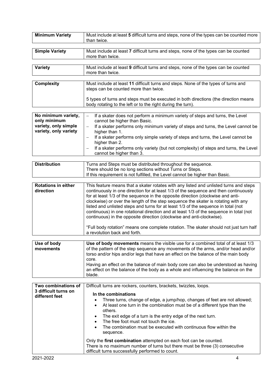| <b>Minimum Variety</b>                      | Must include at least 5 difficult turns and steps, none of the types can be counted more<br>than twice.                                                                                                                                                                                                                                                                                                                                                                                                                                                                                                         |
|---------------------------------------------|-----------------------------------------------------------------------------------------------------------------------------------------------------------------------------------------------------------------------------------------------------------------------------------------------------------------------------------------------------------------------------------------------------------------------------------------------------------------------------------------------------------------------------------------------------------------------------------------------------------------|
| <b>Simple Variety</b>                       | Must include at least 7 difficult turns and steps, none of the types can be counted<br>more than twice.                                                                                                                                                                                                                                                                                                                                                                                                                                                                                                         |
| <b>Variety</b>                              | Must include at least 9 difficult turns and steps, none of the types can be counted<br>more than twice.                                                                                                                                                                                                                                                                                                                                                                                                                                                                                                         |
|                                             |                                                                                                                                                                                                                                                                                                                                                                                                                                                                                                                                                                                                                 |
| <b>Complexity</b>                           | Must include at least 11 difficult turns and steps. None of the types of turns and<br>steps can be counted more than twice.                                                                                                                                                                                                                                                                                                                                                                                                                                                                                     |
|                                             | 5 types of turns and steps must be executed in both directions (the direction means<br>body rotating to the left or to the right during the turn).                                                                                                                                                                                                                                                                                                                                                                                                                                                              |
| No minimum variety,                         | If a skater does not perform a minimum variety of steps and turns, the Level<br>$\qquad \qquad -$                                                                                                                                                                                                                                                                                                                                                                                                                                                                                                               |
| only minimum                                | cannot be higher than Basic.                                                                                                                                                                                                                                                                                                                                                                                                                                                                                                                                                                                    |
| variety, only simple                        | If a skater performs only minimum variety of steps and turns, the Level cannot be<br>$\qquad \qquad -$                                                                                                                                                                                                                                                                                                                                                                                                                                                                                                          |
| variety, only variety                       | higher than 1.                                                                                                                                                                                                                                                                                                                                                                                                                                                                                                                                                                                                  |
|                                             | If a skater performs only simple variety of steps and turns, the Level cannot be<br>$\qquad \qquad -$<br>higher than 2.                                                                                                                                                                                                                                                                                                                                                                                                                                                                                         |
|                                             | If a skater performs only variety (but not complexity) of steps and turns, the Level<br>$\qquad \qquad -$                                                                                                                                                                                                                                                                                                                                                                                                                                                                                                       |
|                                             | cannot be higher than 3.                                                                                                                                                                                                                                                                                                                                                                                                                                                                                                                                                                                        |
| <b>Distribution</b>                         |                                                                                                                                                                                                                                                                                                                                                                                                                                                                                                                                                                                                                 |
|                                             | Turns and Steps must be distributed throughout the sequence.<br>There should be no long sections without Turns or Steps.                                                                                                                                                                                                                                                                                                                                                                                                                                                                                        |
|                                             | If this requirement is not fulfilled, the Level cannot be higher than Basic.                                                                                                                                                                                                                                                                                                                                                                                                                                                                                                                                    |
|                                             |                                                                                                                                                                                                                                                                                                                                                                                                                                                                                                                                                                                                                 |
| <b>Rotations in either</b><br>direction     | This feature means that a skater rotates with any listed and unlisted turns and steps<br>continuously in one direction for at least 1/3 of the sequence and then continuously<br>for at least 1/3 of the sequence in the opposite direction (clockwise and anti-<br>clockwise) or over the length of the step sequence the skater is rotating with any<br>listed and unlisted steps and turns for at least 1/3 of the sequence in total (not<br>continuous) in one rotational direction and at least 1/3 of the sequence in total (not<br>continuous) in the opposite direction (clockwise and anti-clockwise). |
|                                             | "Full body rotation" means one complete rotation. The skater should not just turn half<br>a revolution back and forth.                                                                                                                                                                                                                                                                                                                                                                                                                                                                                          |
| Use of body                                 | Use of body movements means the visible use for a combined total of at least 1/3                                                                                                                                                                                                                                                                                                                                                                                                                                                                                                                                |
| movements                                   | of the pattern of the step sequence any movements of the arms, and/or head and/or                                                                                                                                                                                                                                                                                                                                                                                                                                                                                                                               |
|                                             | torso and/or hips and/or legs that have an effect on the balance of the main body                                                                                                                                                                                                                                                                                                                                                                                                                                                                                                                               |
|                                             | core.                                                                                                                                                                                                                                                                                                                                                                                                                                                                                                                                                                                                           |
|                                             | Having an effect on the balance of main body core can also be understood as having<br>an effect on the balance of the body as a whole and influencing the balance on the                                                                                                                                                                                                                                                                                                                                                                                                                                        |
|                                             | blade.                                                                                                                                                                                                                                                                                                                                                                                                                                                                                                                                                                                                          |
|                                             |                                                                                                                                                                                                                                                                                                                                                                                                                                                                                                                                                                                                                 |
| Two combinations of<br>3 difficult turns on | Difficult turns are rockers, counters, brackets, twizzles, loops.                                                                                                                                                                                                                                                                                                                                                                                                                                                                                                                                               |
| different feet                              | In the combinations                                                                                                                                                                                                                                                                                                                                                                                                                                                                                                                                                                                             |
|                                             | Three turns, change of edge, a jump/hop, changes of feet are not allowed;<br>$\bullet$                                                                                                                                                                                                                                                                                                                                                                                                                                                                                                                          |
|                                             | At least one turn in the combination must be of a different type than the<br>٠<br>others.                                                                                                                                                                                                                                                                                                                                                                                                                                                                                                                       |
|                                             | The exit edge of a turn is the entry edge of the next turn.                                                                                                                                                                                                                                                                                                                                                                                                                                                                                                                                                     |
|                                             | The free foot must not touch the ice.<br>$\bullet$                                                                                                                                                                                                                                                                                                                                                                                                                                                                                                                                                              |
|                                             | The combination must be executed with continuous flow within the<br>$\bullet$<br>sequence.                                                                                                                                                                                                                                                                                                                                                                                                                                                                                                                      |
|                                             | Only the first combination attempted on each foot can be counted.<br>There is no maximum number of turns but there must be three (3) consecutive<br>difficult turns successfully performed to count.                                                                                                                                                                                                                                                                                                                                                                                                            |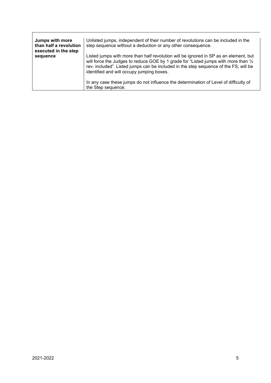| Jumps with more<br>than half a revolution<br>executed in the step | Unlisted jumps, independent of their number of revolutions can be included in the<br>step sequence without a deduction or any other consequence.                                                                                                                                                                 |
|-------------------------------------------------------------------|------------------------------------------------------------------------------------------------------------------------------------------------------------------------------------------------------------------------------------------------------------------------------------------------------------------|
| sequence                                                          | Listed jumps with more than half revolution will be ignored in SP as an element, but<br>will force the Judges to reduce GOE by 1 grade for "Listed jumps with more than 1/2<br>rev. included". Listed jumps can be included in the step sequence of the FS, will be<br>identified and will occupy jumping boxes. |
|                                                                   | In any case these jumps do not influence the determination of Level of difficulty of<br>the Step sequence.                                                                                                                                                                                                       |

 $\mathbf{r}$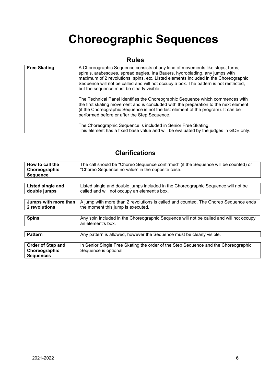# **Choreographic Sequences**

# **Rules**

| <b>Free Skating</b> | A Choreographic Sequence consists of any kind of movements like steps, turns,<br>spirals, arabesques, spread eagles, Ina Bauers, hydroblading, any jumps with<br>maximum of 2 revolutions, spins, etc. Listed elements included in the Choreographic<br>Sequence will not be called and will not occupy a box. The pattern is not restricted,<br>but the sequence must be clearly visible. |
|---------------------|--------------------------------------------------------------------------------------------------------------------------------------------------------------------------------------------------------------------------------------------------------------------------------------------------------------------------------------------------------------------------------------------|
|                     | The Technical Panel identifies the Choreographic Sequence which commences with<br>the first skating movement and is concluded with the preparation to the next element<br>(if the Choreographic Sequence is not the last element of the program). It can be<br>performed before or after the Step Sequence.                                                                                |
|                     | The Choreographic Sequence is included in Senior Free Skating.<br>This element has a fixed base value and will be evaluated by the judges in GOE only.                                                                                                                                                                                                                                     |

# **Clarifications**

| How to call the<br>Choreographic<br><b>Sequence</b> | The call should be "Choreo Sequence confirmed" (if the Sequence will be counted) or<br>"Choreo Sequence no value" in the opposite case. |
|-----------------------------------------------------|-----------------------------------------------------------------------------------------------------------------------------------------|
|                                                     |                                                                                                                                         |
| Listed single and                                   | Listed single and double jumps included in the Choreographic Sequence will not be                                                       |
| double jumps                                        | called and will not occupy an element's box.                                                                                            |
|                                                     |                                                                                                                                         |
| Jumps with more than                                | A jump with more than 2 revolutions is called and counted. The Choreo Sequence ends                                                     |
| 2 revolutions                                       | the moment this jump is executed.                                                                                                       |
|                                                     |                                                                                                                                         |
| <b>Spins</b>                                        | Any spin included in the Choreographic Sequence will not be called and will not occupy<br>an element's box.                             |
|                                                     |                                                                                                                                         |
| <b>Pattern</b>                                      | Any pattern is allowed, however the Sequence must be clearly visible.                                                                   |
|                                                     |                                                                                                                                         |
| Order of Step and                                   | In Senior Single Free Skating the order of the Step Sequence and the Choreographic                                                      |
| Choreographic                                       | Sequence is optional.                                                                                                                   |
| <b>Sequences</b>                                    |                                                                                                                                         |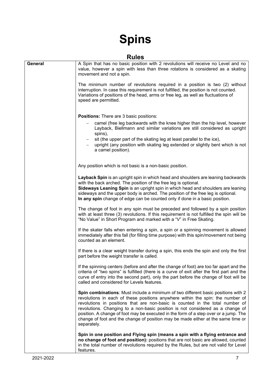# **Spins**

### **Rules**

|         | פטושרו                                                                                                                                                                                                                                                                                                                                                                                                                                                                                                                            |
|---------|-----------------------------------------------------------------------------------------------------------------------------------------------------------------------------------------------------------------------------------------------------------------------------------------------------------------------------------------------------------------------------------------------------------------------------------------------------------------------------------------------------------------------------------|
| General | A Spin that has no basic position with 2 revolutions will receive no Level and no<br>value, however a spin with less than three rotations is considered as a skating<br>movement and not a spin.                                                                                                                                                                                                                                                                                                                                  |
|         | The minimum number of revolutions required in a position is two (2) without<br>interruption. In case this requirement is not fulfilled, the position is not counted.<br>Variations of positions of the head, arms or free leg, as well as fluctuations of<br>speed are permitted.                                                                                                                                                                                                                                                 |
|         | <b>Positions:</b> There are 3 basic positions:                                                                                                                                                                                                                                                                                                                                                                                                                                                                                    |
|         | camel (free leg backwards with the knee higher than the hip level, however<br>Layback, Biellmann and similar variations are still considered as upright<br>spins),<br>sit (the upper part of the skating leg at least parallel to the ice),                                                                                                                                                                                                                                                                                       |
|         | upright (any position with skating leg extended or slightly bent which is not<br>a camel position).                                                                                                                                                                                                                                                                                                                                                                                                                               |
|         | Any position which is not basic is a non-basic position.                                                                                                                                                                                                                                                                                                                                                                                                                                                                          |
|         | Layback Spin is an upright spin in which head and shoulders are leaning backwards<br>with the back arched. The position of the free leg is optional.<br>Sideways Leaning Spin is an upright spin in which head and shoulders are leaning<br>sideways and the upper body is arched. The position of the free leg is optional.<br>In any spin change of edge can be counted only if done in a basic position.                                                                                                                       |
|         | The change of foot in any spin must be preceded and followed by a spin position<br>with at least three (3) revolutions. If this requirement is not fulfilled the spin will be<br>"No Value" in Short Program and marked with a "V" in Free Skating.                                                                                                                                                                                                                                                                               |
|         | If the skater falls when entering a spin, a spin or a spinning movement is allowed<br>immediately after this fall (for filling time purpose) with this spin/movement not being<br>counted as an element.                                                                                                                                                                                                                                                                                                                          |
|         | If there is a clear weight transfer during a spin, this ends the spin and only the first<br>part before the weight transfer is called.                                                                                                                                                                                                                                                                                                                                                                                            |
|         | If the spinning centers (before and after the change of foot) are too far apart and the<br>criteria of "two spins" is fulfilled (there is a curve of exit after the first part and the<br>curve of entry into the second part), only the part before the change of foot will be<br>called and considered for Levels features.                                                                                                                                                                                                     |
|         | Spin combinations: Must include a minimum of two different basic positions with 2<br>revolutions in each of these positions anywhere within the spin: the number of<br>revolutions in positions that are non-basic is counted in the total number of<br>revolutions. Changing to a non-basic position is not considered as a change of<br>position. A change of foot may be executed in the form of a step over or a jump. The<br>change of foot and the change of position may be made either at the same time or<br>separately. |
|         | Spin in one position and Flying spin (means a spin with a flying entrance and<br>no change of foot and position): positions that are not basic are allowed, counted<br>in the total number of revolutions required by the Rules, but are not valid for Level<br>features.                                                                                                                                                                                                                                                         |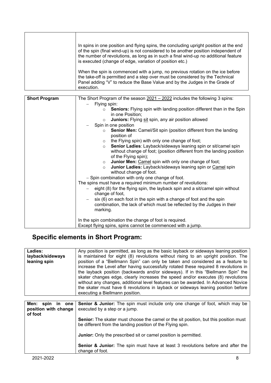| In spins in one position and flying spins, the concluding upright position at the end<br>of the spin (final wind-up) is not considered to be another position independent of<br>the number of revolutions, as long as in such a final wind-up no additional feature<br>is executed (change of edge, variation of position etc.) |
|---------------------------------------------------------------------------------------------------------------------------------------------------------------------------------------------------------------------------------------------------------------------------------------------------------------------------------|
| When the spin is commenced with a jump, no previous rotation on the ice before<br>the take-off is permitted and a step over must be considered by the Technical<br>Panel adding "V" to reduce the Base Value and by the Judges in the Grade of<br>execution.                                                                    |

| <b>Short Program</b> | The Short Program of the season $2021 - 2022$ includes the following 3 spins:                                                                      |
|----------------------|----------------------------------------------------------------------------------------------------------------------------------------------------|
|                      |                                                                                                                                                    |
|                      | Flying spin:                                                                                                                                       |
|                      | <b>Seniors:</b> Flying spin with landing position different than in the Spin<br>$\Omega$                                                           |
|                      | in one Position;                                                                                                                                   |
|                      | Juniors: Flying sit spin, any air position allowed<br>$\circ$                                                                                      |
|                      | Spin in one position                                                                                                                               |
|                      | Senior Men: Camel/Sit spin (position different from the landing<br>$\circ$<br>position of                                                          |
|                      | the Flying spin) with only one change of foot;<br>$\circ$                                                                                          |
|                      | Senior Ladies: Layback/sideways leaning spin or sit/camel spin<br>$\circ$<br>without change of foot; (position different from the landing position |
|                      | of the Flying spin);                                                                                                                               |
|                      | <b>Junior Men: Camel spin with only one change of foot;</b><br>$\circ$                                                                             |
|                      | Junior Ladies: Layback/sideways leaning spin or Camel spin<br>$\circ$                                                                              |
|                      | without change of foot.                                                                                                                            |
|                      | - Spin combination with only one change of foot.                                                                                                   |
|                      | The spins must have a required minimum number of revolutions:                                                                                      |
|                      | eight (8) for the flying spin, the layback spin and a sit/camel spin without                                                                       |
|                      | change of foot,                                                                                                                                    |
|                      |                                                                                                                                                    |
|                      | six (6) on each foot in the spin with a change of foot and the spin                                                                                |
|                      | combination, the lack of which must be reflected by the Judges in their                                                                            |
|                      | marking.                                                                                                                                           |
|                      |                                                                                                                                                    |
|                      | In the spin combination the change of foot is required.                                                                                            |
|                      | Except flying spins, spins cannot be commenced with a jump.                                                                                        |

# **Specific elements in Short Program:**

| Any position is permitted, as long as the basic layback or sideways leaning position                                                                                  |
|-----------------------------------------------------------------------------------------------------------------------------------------------------------------------|
| is maintained for eight (8) revolutions without rising to an upright position. The                                                                                    |
| position of a "Biellmann Spin" can only be taken and considered as a feature to                                                                                       |
| increase the Level after having successfully rotated these required 8 revolutions in                                                                                  |
| the layback position (backwards and/or sideways). If in this "Biellmann Spin" the                                                                                     |
| skater changes edge, clearly increases the speed and/or executes (8) revolutions<br>without any changes, additional level features can be awarded. In Advanced Novice |
| the skater must have 6 revolutions in layback or sideways leaning position before                                                                                     |
| executing a Biellmann position.                                                                                                                                       |
|                                                                                                                                                                       |
| <b>Senior &amp; Junior:</b> The spin must include only one change of foot, which may be                                                                               |
| executed by a step or a jump.                                                                                                                                         |
|                                                                                                                                                                       |
| <b>Senior:</b> The skater must choose the camel or the sit position, but this position must                                                                           |
| be different from the landing position of the Flying spin.                                                                                                            |
|                                                                                                                                                                       |
| <b>Junior:</b> Only the prescribed sit or camel position is permitted.                                                                                                |
|                                                                                                                                                                       |
| Senior & Junior: The spin must have at least 3 revolutions before and after the<br>change of foot.                                                                    |
|                                                                                                                                                                       |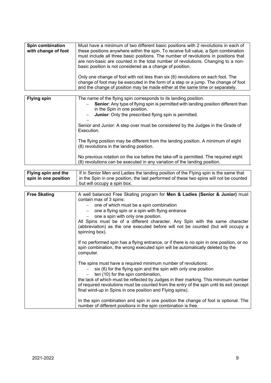| Spin combination<br>with change of foot | Must have a minimum of two different basic positions with 2 revolutions in each of<br>these positions anywhere within the spin. To receive full value, a Spin combination<br>must include all three basic positions. The number of revolutions in positions that<br>are non-basic are counted in the total number of revolutions. Changing to a non-<br>basic position is not considered as a change of position. |
|-----------------------------------------|-------------------------------------------------------------------------------------------------------------------------------------------------------------------------------------------------------------------------------------------------------------------------------------------------------------------------------------------------------------------------------------------------------------------|
|                                         | Only one change of foot with not less than six (6) revolutions on each foot. The<br>change of foot may be executed in the form of a step or a jump. The change of foot<br>and the change of position may be made either at the same time or separately.                                                                                                                                                           |

| <b>Flying spin</b> | The name of the flying spin corresponds to its landing position.<br>Senior: Any type of flying spin is permitted with landing position different than<br>in the Spin in one position.<br>Junior: Only the prescribed flying spin is permitted.<br>Senior and Junior: A step over must be considered by the Judges in the Grade of<br>Execution. |
|--------------------|-------------------------------------------------------------------------------------------------------------------------------------------------------------------------------------------------------------------------------------------------------------------------------------------------------------------------------------------------|
|                    | The flying position may be different from the landing position. A minimum of eight<br>(8) revolutions in the landing position.                                                                                                                                                                                                                  |
|                    | No previous rotation on the ice before the take-off is permitted. The required eight<br>(8) revolutions can be executed in any variation of the landing position.                                                                                                                                                                               |

| Flying spin and the  | If in Senior Men and Ladies the landing position of the Flying spin is the same that   |
|----------------------|----------------------------------------------------------------------------------------|
| spin in one position | in the Spin in one position, the last performed of these two spins will not be counted |
|                      |                                                                                        |
|                      | but will occupy a spin box.                                                            |

| <b>Free Skating</b> | A well balanced Free Skating program for <b>Men &amp; Ladies (Senior &amp; Junior)</b> must                                                                                              |
|---------------------|------------------------------------------------------------------------------------------------------------------------------------------------------------------------------------------|
|                     | contain max of 3 spins:                                                                                                                                                                  |
|                     | $-$ one of which must be a spin combination                                                                                                                                              |
|                     | one a flying spin or a spin with flying entrance                                                                                                                                         |
|                     | one a spin with only one position.                                                                                                                                                       |
|                     | All Spins must be of a different character. Any Spin with the same character<br>(abbreviation) as the one executed before will not be counted (but will occupy a<br>spinning box).       |
|                     | If no performed spin has a flying entrance, or if there is no spin in one position, or no<br>spin combination, the wrong executed spin will be automatically deleted by the<br>computer. |
|                     | The spins must have a required minimum number of revolutions:                                                                                                                            |
|                     | six (6) for the flying spin and the spin with only one position                                                                                                                          |
|                     | ten (10) for the spin combination,                                                                                                                                                       |
|                     | the lack of which must be reflected by Judges in their marking. This minimum number                                                                                                      |
|                     | of required revolutions must be counted from the entry of the spin until its exit (except                                                                                                |
|                     | final wind-up in Spins in one position and Flying spins).                                                                                                                                |
|                     |                                                                                                                                                                                          |
|                     | In the spin combination and spin in one position the change of foot is optional. The<br>number of different positions in the spin combination is free.                                   |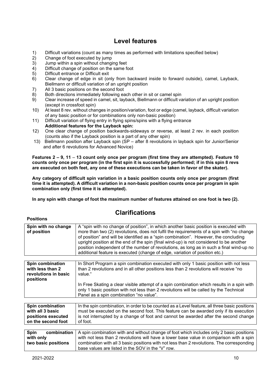# **Level features**

- 1) Difficult variations (count as many times as performed with limitations specified below)
- 2) Change of foot executed by jump<br>3) Jump within a spin without chang
- 3) Jump within a spin without changing feet<br>4) Difficult change of position on the same fo
- 4) Difficult change of position on the same foot<br>5) Difficult entrance or Difficult exit
- 5) Difficult entrance or Difficult exit
- 6) Clear change of edge in sit (only from backward inside to forward outside), camel, Layback, Biellmann or difficult variation of an upright position
- 7) All 3 basic positions on the second foot
- 8) Both directions immediately following each other in sit or camel spin<br>9) Clear increase of speed in camel, sit, layback, Biellmann or difficult va
- 9) Clear increase of speed in camel, sit, layback, Biellmann or difficult variation of an upright position (except in crossfoot spin)
- 10) At least 8 rev. without changes in position/variation, foot or edge (camel, layback, difficult variation of any basic position or for combinations only non-basic position)
- 11) Difficult variation of flying entry in flying spins/spins with a flying entrance **Additional features for the Layback spin:**
- 12) One clear change of position backwards-sideways or reverse, at least 2 rev. in each position (counts also if the Layback position is a part of any other spin)
- 13) Biellmann position after Layback spin (SP after 8 revolutions in layback spin for Junior/Senior and after 6 revolutions for Advanced Novice)

**Features 2 – 9, 11** – **13 count only once per program (first time they are attempted). Feature 10 counts only once per program (in the first spin it is successfully performed; if in this spin 8 revs are executed on both feet, any one of these executions can be taken in favor of the skater).**

**Any category of difficult spin variation in a basic position counts only once per program (first time it is attempted). A difficult variation in a non-basic position counts once per program in spin combination only (first time it is attempted).**

**In any spin with change of foot the maximum number of features attained on one foot is two (2).**

# **Clarifications**

| Spin with no change<br>of position | A "spin with no change of position", in which another basic position is executed with<br>more than two (2) revolutions, does not fulfil the requirements of a spin with "no change |
|------------------------------------|------------------------------------------------------------------------------------------------------------------------------------------------------------------------------------|
|                                    | of position" and will be identified as a "spin combination". However, the concluding                                                                                               |
|                                    | upright position at the end of the spin (final wind-up) is not considered to be another                                                                                            |
|                                    | position independent of the number of revolutions, as long as in such a final wind-up no                                                                                           |
|                                    |                                                                                                                                                                                    |
|                                    | additional feature is executed (change of edge, variation of position etc.)                                                                                                        |
|                                    |                                                                                                                                                                                    |
| Spin combination                   | In Short Program a spin combination executed with only 1 basic position with not less                                                                                              |
| with less than 2                   | than 2 revolutions and in all other positions less than 2 revolutions will receive "no                                                                                             |
| revolutions in basic               | value."                                                                                                                                                                            |
| positions                          |                                                                                                                                                                                    |
|                                    | In Free Skating a clear visible attempt of a spin combination which results in a spin with                                                                                         |
|                                    | only 1 basic position with not less than 2 revolutions will be called by the Technical                                                                                             |
|                                    | Panel as a spin combination "no value".                                                                                                                                            |
|                                    |                                                                                                                                                                                    |
| Spin combination                   | In the spin combination, in order to be counted as a Level feature, all three basic positions                                                                                      |
| with all 3 basic                   | must be executed on the second foot. This feature can be awarded only if its execution                                                                                             |
| positions executed                 | is not interrupted by a change of foot and cannot be awarded after the second change                                                                                               |
| on the second foot                 | of foot.                                                                                                                                                                           |
|                                    |                                                                                                                                                                                    |

| <b>Spin</b>         | combination   A spin combination with and without change of foot which includes only 2 basic positions |
|---------------------|--------------------------------------------------------------------------------------------------------|
| with only           | with not less than 2 revolutions will have a lower base value in comparison with a spin                |
| two basic positions | combination with all 3 basic positions with not less than 2 revolutions. The corresponding I           |
|                     | base values are listed in the SOV in the "V" row.                                                      |

**Positions**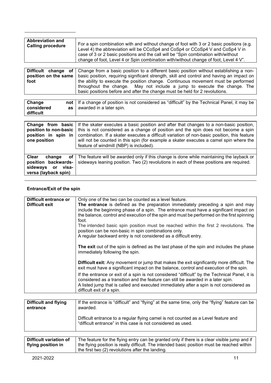| <b>Abbreviation and</b><br><b>Calling procedure</b> | For a spin combination with and without change of foot with 3 or 2 basic positions (e.g.<br>Level 4) the abbreviation will be CCoSp4 and CoSp4 or CCoSp4 V and CoSp4 V in<br>case of 3 or 2 basic positions and the call will be "Spin combination with/without<br>change of foot, Level 4 or Spin combination with/without change of foot, Level 4 V". |
|-----------------------------------------------------|---------------------------------------------------------------------------------------------------------------------------------------------------------------------------------------------------------------------------------------------------------------------------------------------------------------------------------------------------------|
|                                                     |                                                                                                                                                                                                                                                                                                                                                         |
|                                                     | <b>Difficult</b> change of Change from a basic position to a different basic position without establishing a non-                                                                                                                                                                                                                                       |

|      | <b>EXTREMENT AND AND A PROPERTY CONTACT TO A MILLION CONTACT MANAGEMENT COMMUNISMENT OF LIGHT</b>                |
|------|------------------------------------------------------------------------------------------------------------------|
|      | position on the same   basic position, requiring significant strength, skill and control and having an impact on |
| foot | the ability to execute the position change. Continuous movement must be performed                                |
|      | throughout the change. May not include a jump to execute the change. The                                         |
|      | basic positions before and after the change must be held for 2 revolutions.                                      |

| Change<br>not<br>considered<br>as<br>difficult                                                                | If a change of position is not considered as "difficult" by the Technical Panel, it may be<br>awarded in a later spin.                                                                                                                                                                                                                                                                                            |
|---------------------------------------------------------------------------------------------------------------|-------------------------------------------------------------------------------------------------------------------------------------------------------------------------------------------------------------------------------------------------------------------------------------------------------------------------------------------------------------------------------------------------------------------|
| Change from basic<br>position to non-basic<br>position in spin in<br>one position                             | If the skater executes a basic position and after that changes to a non-basic position,<br>this is not considered as a change of position and the spin does not become a spin<br>combination. If a skater executes a difficult variation of non-basic position, this feature<br>will not be counted in this spin (for example a skater executes a camel spin where the<br>feature of windmill (NBP) is included). |
| Clear<br><b>of</b><br>change<br>position backwards-<br>sideways<br>visa-<br><b>or</b><br>versa (layback spin) | The feature will be awarded only if this change is done while maintaining the layback or<br>sideways leaning position. Two (2) revolutions in each of these positions are required.                                                                                                                                                                                                                               |

#### **Entrance/Exit of the spin**

| Difficult entrance or<br>Difficult exit | Only one of the two can be counted as a level feature.<br>The entrance is defined as the preparation immediately preceding a spin and may<br>include the beginning phase of a spin. The entrance must have a significant impact on<br>the balance, control and execution of the spin and must be performed on the first spinning |
|-----------------------------------------|----------------------------------------------------------------------------------------------------------------------------------------------------------------------------------------------------------------------------------------------------------------------------------------------------------------------------------|
|                                         | foot.<br>The intended basic spin position must be reached within the first 2 revolutions. The<br>position can be non-basic in spin combinations only.<br>A regular backward entry is not considered as a difficult entry.                                                                                                        |
|                                         | The exit out of the spin is defined as the last phase of the spin and includes the phase<br>immediately following the spin.                                                                                                                                                                                                      |
|                                         | <b>Difficult exit:</b> Any movement or jump that makes the exit significantly more difficult. The<br>exit must have a significant impact on the balance, control and execution of the spin.                                                                                                                                      |
|                                         | If the entrance or exit of a spin is not considered "difficult" by the Technical Panel, it is<br>considered as a transition and the feature can still be awarded in a later spin.<br>A listed jump that is called and executed immediately after a spin is not considered as<br>difficult exit of a spin.                        |
|                                         |                                                                                                                                                                                                                                                                                                                                  |

| <b>Difficult and flying</b> | If the entrance is "difficult" and "flying" at the same time, only the "flying" feature can be                                                     |
|-----------------------------|----------------------------------------------------------------------------------------------------------------------------------------------------|
| entrance                    | awarded.                                                                                                                                           |
|                             | Difficult entrance to a regular flying camel is not counted as a Level feature and<br>"difficult entrance" in this case is not considered as used. |

| Difficult variation of | The feature for the flying entry can be granted only if there is a clear visible jump and if |
|------------------------|----------------------------------------------------------------------------------------------|
| flying position in     | the flying position is really difficult. The intended basic position must be reached within  |
|                        | the first two (2) revolutions after the landing.                                             |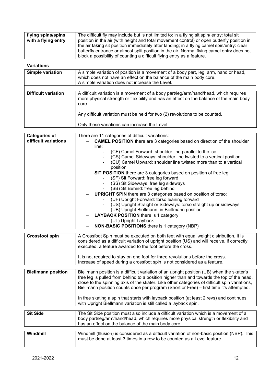| flying spins/spins  | The difficult fly may include but is not limited to: in a flying sit spin/ entry: total sit |
|---------------------|---------------------------------------------------------------------------------------------|
|                     |                                                                                             |
| with a flying entry | position in the air (with height and total movement control) or open butterfly position in  |
|                     | the air taking sit position immediately after landing; in a flying camel spin/entry: clear  |
|                     | butterfly entrance or almost split position in the air. Normal flying camel entry does not  |
|                     | block a possibility of counting a difficult flying entry as a feature.                      |

#### **Variations**

| Simple variation           | A simple variation of position is a movement of a body part, leg, arm, hand or head,<br>which does not have an effect on the balance of the main body core.<br>A simple variation does not increase the Level. |
|----------------------------|----------------------------------------------------------------------------------------------------------------------------------------------------------------------------------------------------------------|
|                            |                                                                                                                                                                                                                |
| <b>Difficult variation</b> | A difficult variation is a movement of a body part/leg/arm/hand/head, which requires<br>more physical strength or flexibility and has an effect on the balance of the main body<br>core.                       |
|                            | Any difficult variation must be held for two (2) revolutions to be counted.                                                                                                                                    |
|                            | Only these variations can increase the Level.                                                                                                                                                                  |
|                            |                                                                                                                                                                                                                |

| <b>Categories of</b> | There are 11 categories of difficult variations:                                |
|----------------------|---------------------------------------------------------------------------------|
| difficult variations | <b>CAMEL POSITION</b> there are 3 categories based on direction of the shoulder |
|                      | line:                                                                           |
|                      | (CF) Camel Forward: shoulder line parallel to the ice                           |
|                      | (CS) Camel Sideways: shoulder line twisted to a vertical position               |
|                      | (CU) Camel Upward: shoulder line twisted more than to a vertical                |
|                      | position                                                                        |
|                      | <b>SIT POSITION</b> there are 3 categories based on position of free leg:       |
|                      | (SF) Sit Forward: free leg forward                                              |
|                      | (SS) Sit Sideways: free leg sideways                                            |
|                      | (SB) Sit Behind: free leg behind                                                |
|                      | <b>UPRIGHT SPIN</b> there are 3 categories based on position of torso:          |
|                      | - (UF) Upright Forward: torso leaning forward                                   |
|                      | - (US) Upright Straight or Sideways: torso straight up or sideways              |
|                      | (UB) Upright Biellmann: in Biellmann position                                   |
|                      | <b>LAYBACK POSITION</b> there is 1 category                                     |
|                      | (UL) Upright Layback                                                            |
|                      | <b>NON-BASIC POSITIONS</b> there is 1 category (NBP)                            |

| <b>Crossfoot spin</b> | A Crossfoot Spin must be executed on both feet with equal weight distribution. It is<br>considered as a difficult variation of upright position (US) and will receive, if correctly<br>executed, a feature awarded to the foot before the cross. |
|-----------------------|--------------------------------------------------------------------------------------------------------------------------------------------------------------------------------------------------------------------------------------------------|
|                       | It is not required to stay on one foot for three revolutions before the cross.<br>Increase of speed during a crossfoot spin is not considered as a feature.                                                                                      |

| <b>Biellmann position</b> | Biellmann position is a difficult variation of an upright position (UB) when the skater's<br>free leg is pulled from behind to a position higher than and towards the top of the head,<br>close to the spinning axis of the skater. Like other categories of difficult spin variations,<br>Biellmann position counts once per program (Short or Free) – first time it's attempted.<br>In free skating a spin that starts with layback position (at least 2 revs) and continues<br>with Upright Biellmann variation is still called a layback spin. |
|---------------------------|----------------------------------------------------------------------------------------------------------------------------------------------------------------------------------------------------------------------------------------------------------------------------------------------------------------------------------------------------------------------------------------------------------------------------------------------------------------------------------------------------------------------------------------------------|
|                           |                                                                                                                                                                                                                                                                                                                                                                                                                                                                                                                                                    |
| <b>Sit Side</b>           | The Sit Side position must also include a difficult variation which is a movement of a<br>body part/leg/arm/hand/head, which requires more physical strength or flexibility and                                                                                                                                                                                                                                                                                                                                                                    |

| Windmill | Windmill (Illusion) is considered as a difficult variation of non-basic position (NBP). This<br>must be done at least 3 times in a row to be counted as a Level feature. |
|----------|--------------------------------------------------------------------------------------------------------------------------------------------------------------------------|

has an effect on the balance of the main body core.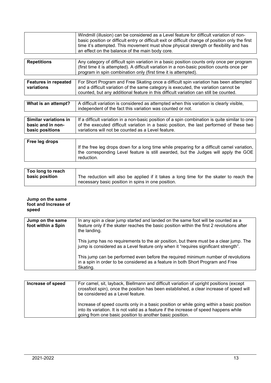|                                                               | Windmill (illusion) can be considered as a Level feature for difficult variation of non-<br>basic position or difficult entry or difficult exit or difficult change of position only the first<br>time it's attempted. This movement must show physical strength or flexibility and has<br>an effect on the balance of the main body core. |
|---------------------------------------------------------------|--------------------------------------------------------------------------------------------------------------------------------------------------------------------------------------------------------------------------------------------------------------------------------------------------------------------------------------------|
| <b>Repetitions</b>                                            | Any category of difficult spin variation in a basic position counts only once per program<br>(first time it is attempted). A difficult variation in a non-basic position counts once per<br>program in spin combination only (first time it is attempted).                                                                                 |
| <b>Features in repeated</b><br>variations                     | For Short Program and Free Skating once a difficult spin variation has been attempted<br>and a difficult variation of the same category is executed, the variation cannot be<br>counted, but any additional feature in this difficult variation can still be counted.                                                                      |
|                                                               |                                                                                                                                                                                                                                                                                                                                            |
| What is an attempt?                                           | A difficult variation is considered as attempted when this variation is clearly visible,<br>independent of the fact this variation was counted or not.                                                                                                                                                                                     |
|                                                               |                                                                                                                                                                                                                                                                                                                                            |
| Similar variations in<br>basic and in non-<br>basic positions | If a difficult variation in a non-basic position of a spin combination is quite similar to one<br>of the executed difficult variation in a basic position, the last performed of these two<br>variations will not be counted as a Level feature.                                                                                           |
|                                                               |                                                                                                                                                                                                                                                                                                                                            |
| Free leg drops                                                | If the free leg drops down for a long time while preparing for a difficult camel variation,<br>the corresponding Level feature is still awarded, but the Judges will apply the GOE<br>reduction.                                                                                                                                           |

| Too long to reach |                                                                                        |
|-------------------|----------------------------------------------------------------------------------------|
| basic position    | The reduction will also be applied if it takes a long time for the skater to reach the |
|                   | necessary basic position in spins in one position.                                     |

#### **Jump on the same foot and Increase of speed**

| Jump on the same<br>foot within a Spin | In any spin a clear jump started and landed on the same foot will be counted as a<br>feature only if the skater reaches the basic position within the first 2 revolutions after<br>the landing. |
|----------------------------------------|-------------------------------------------------------------------------------------------------------------------------------------------------------------------------------------------------|
|                                        | This jump has no requirements to the air position, but there must be a clear jump. The<br>jump is considered as a Level feature only when it "requires significant strength".                   |
|                                        | This jump can be performed even before the required minimum number of revolutions<br>in a spin in order to be considered as a feature in both Short Program and Free<br>Skating.                |

| Increase of speed | For camel, sit, layback, Biellmann and difficult variation of upright positions (except<br>crossfoot spin), once the position has been established, a clear increase of speed will<br>be considered as a Level feature.                         |
|-------------------|-------------------------------------------------------------------------------------------------------------------------------------------------------------------------------------------------------------------------------------------------|
|                   | Increase of speed counts only in a basic position or while going within a basic position<br>into its variation. It is not valid as a feature if the increase of speed happens while<br>going from one basic position to another basic position. |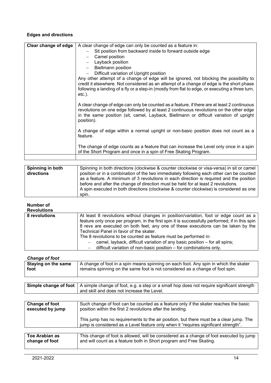#### **Edges and directions**

| Clear change of edge | A clear change of edge can only be counted as a feature in:                                                                                                                                                                                                                                        |
|----------------------|----------------------------------------------------------------------------------------------------------------------------------------------------------------------------------------------------------------------------------------------------------------------------------------------------|
|                      | Sit position from backward inside to forward outside edge                                                                                                                                                                                                                                          |
|                      | Camel position                                                                                                                                                                                                                                                                                     |
|                      | Layback position                                                                                                                                                                                                                                                                                   |
|                      | <b>Biellmann position</b>                                                                                                                                                                                                                                                                          |
|                      | Difficult variation of Upright position                                                                                                                                                                                                                                                            |
|                      | Any other attempt of a change of edge will be ignored, not blocking the possibility to<br>credit it elsewhere. Not considered as an attempt of a change of edge is the short phase<br>following a landing of a fly or a step-in (mostly from flat to edge, or executing a three turn,<br>$etc.$ ). |
|                      | A clear change of edge can only be counted as a feature, if there are at least 2 continuous<br>revolutions on one edge followed by at least 2 continuous revolutions on the other edge<br>in the same position (sit, camel, Layback, Biellmann or difficult variation of upright<br>position).     |
|                      | A change of edge within a normal upright or non-basic position does not count as a<br>feature.                                                                                                                                                                                                     |
|                      | The change of edge counts as a feature that can increase the Level only once in a spin<br>of the Short Program and once in a spin of Free Skating Program.                                                                                                                                         |
|                      |                                                                                                                                                                                                                                                                                                    |

| Spinning in both | Spinning in both directions (clockwise & counter clockwise or visa-versa) in sit or camel |
|------------------|-------------------------------------------------------------------------------------------|
| directions       | position or in a combination of the two immediately following each other can be counted   |
|                  | as a feature. A minimum of 3 revolutions in each direction is required and the position   |
|                  | before and after the change of direction must be held for at least 2 revolutions.         |
|                  | A spin executed in both directions (clockwise & counter clockwise) is considered as one   |
|                  | spin.                                                                                     |

#### **Number of**

**Revolutions**

| 8 revolutions | At least 8 revolutions without changes in position/variation, foot or edge count as a          |
|---------------|------------------------------------------------------------------------------------------------|
|               | feature only once per program, in the first spin it is successfully performed; if in this spin |
|               | 8 revs are executed on both feet, any one of these executions can be taken by the              |
|               | Technical Panel in favor of the skater.                                                        |
|               | The 8 revolutions to be counted as feature must be performed in:                               |
|               | camel, layback, difficult variation of any basic position – for all spins;                     |
|               | difficult variation of non-basic position – for combinations only.                             |

#### *Change of foot*

| <b>Unange of Tool</b>      |                                                                                      |
|----------------------------|--------------------------------------------------------------------------------------|
| <b>Staying on the same</b> | A change of foot in a spin means spinning on each foot. Any spin in which the skater |
| foot                       | remains spinning on the same foot is not considered as a change of foot spin.        |
|                            |                                                                                      |

| $\mid$ Simple change of foot $\mid$ A simple change of foot, e.g. a step or a small hop does not require significant strength |
|-------------------------------------------------------------------------------------------------------------------------------|
| and skill and does not increase the Level.                                                                                    |
|                                                                                                                               |

| Change of foot<br>executed by jump      | Such change of foot can be counted as a feature only if the skater reaches the basic<br>position within the first 2 revolutions after the landing.                            |
|-----------------------------------------|-------------------------------------------------------------------------------------------------------------------------------------------------------------------------------|
|                                         | This jump has no requirements to the air position, but there must be a clear jump. The<br>jump is considered as a Level feature only when it "requires significant strength". |
|                                         |                                                                                                                                                                               |
| <b>Toe Arabian as</b><br>change of foot | This change of foot is allowed, will be considered as a change of foot executed by jump<br>and will count as a feature both in Short program and Free Skating.                |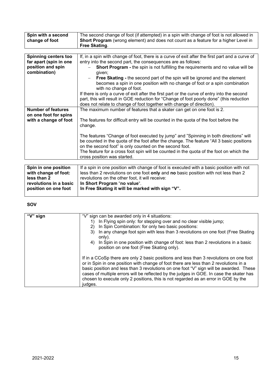| Spin with a second          | The second change of foot (if attempted) in a spin with change of foot is not allowed in               |
|-----------------------------|--------------------------------------------------------------------------------------------------------|
| change of foot              | Short Program (wrong element) and does not count as a feature for a higher Level in                    |
|                             | Free Skating.                                                                                          |
|                             |                                                                                                        |
| <b>Spinning centers too</b> | If, in a spin with change of foot, there is a curve of exit after the first part and a curve of        |
| far apart (spin in one      | entry into the second part, the consequences are as follows:                                           |
| position and spin           | <b>Short Program - the spin is not fulfilling the requirements and no value will be</b>                |
| combination)                | given;                                                                                                 |
|                             | Free Skating - the second part of the spin will be ignored and the element                             |
|                             | becomes a spin in one position with no change of foot or a spin combination<br>with no change of foot. |
|                             | If there is only a curve of exit after the first part or the curve of entry into the second            |
|                             | part, this will result in GOE reduction for "Change of foot poorly done" (this reduction               |
|                             | does not relate to change of foot together with change of direction).                                  |
| <b>Number of features</b>   | The maximum number of features that a skater can get on one foot is 2.                                 |
| on one foot for spins       |                                                                                                        |
| with a change of foot       | The features for difficult entry will be counted in the quota of the foot before the                   |
|                             | change.                                                                                                |
|                             |                                                                                                        |
|                             | The features "Change of foot executed by jump" and "Spinning in both directions" will                  |
|                             | be counted in the quota of the foot after the change. The feature "All 3 basic positions               |
|                             | on the second foot" is only counted on the second foot.                                                |
|                             | The feature for a cross foot spin will be counted in the quota of the foot on which the                |
|                             | cross position was started.                                                                            |
|                             |                                                                                                        |
| Spin in one position        | If a spin in one position with change of foot is executed with a basic position with not               |
| udéh ahanna affaatu         | loga than 2 rough tiang an ang faat antu and ng haaja paajtian with nat loga than 3                    |

| Spin in one position   | If a spin in one position with change of foot is executed with a basic position with not |
|------------------------|------------------------------------------------------------------------------------------|
| with change of foot:   | less than 2 revolutions on one foot only and no basic position with not less than 2      |
| less than 2            | revolutions on the other foot, it will receive:                                          |
| revolutions in a basic | In Short Program "no value".                                                             |
| position on one foot   | In Free Skating it will be marked with sign "V".                                         |
|                        |                                                                                          |

#### **SOV**

| "V" sign | "V" sign can be awarded only in 4 situations:<br>In Flying spin only: for stepping over and no clear visible jump;<br>In Spin Combination: for only two basic positions:<br>(2)<br>3) In any change foot spin with less than 3 revolutions on one foot (Free Skating<br>only).<br>4) In Spin in one position with change of foot: less than 2 revolutions in a basic<br>position on one foot (Free Skating only).                                                     |
|----------|-----------------------------------------------------------------------------------------------------------------------------------------------------------------------------------------------------------------------------------------------------------------------------------------------------------------------------------------------------------------------------------------------------------------------------------------------------------------------|
|          | If in a CCoSp there are only 2 basic positions and less than 3 revolutions on one foot<br>or in Spin in one position with change of foot there are less than 2 revolutions in a<br>basic position and less than 3 revolutions on one foot "V" sign will be awarded. These<br>cases of multiple errors will be reflected by the judges in GOE. In case the skater has<br>chosen to execute only 2 positions, this is not regarded as an error in GOE by the<br>judges. |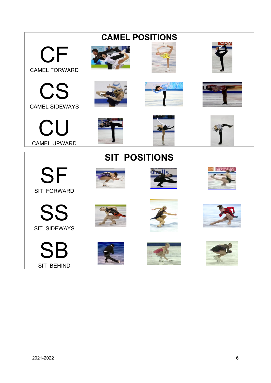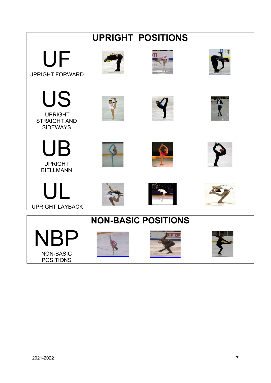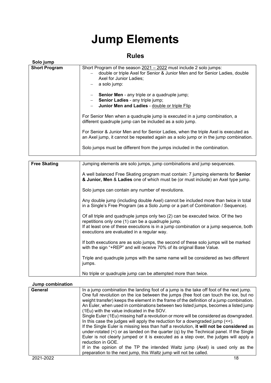# **Jump Elements**

# **Rules**

| Solo jump            |                                                                                                                                                                                                                                                                                                                                                                                                                                                                                                                                                                                                                                                                                                                                      |
|----------------------|--------------------------------------------------------------------------------------------------------------------------------------------------------------------------------------------------------------------------------------------------------------------------------------------------------------------------------------------------------------------------------------------------------------------------------------------------------------------------------------------------------------------------------------------------------------------------------------------------------------------------------------------------------------------------------------------------------------------------------------|
| <b>Short Program</b> | Short Program of the season 2021 - 2022 must include 2 solo jumps:<br>double or triple Axel for Senior & Junior Men and for Senior Ladies, double<br>Axel for Junior Ladies;<br>a solo jump:<br>Senior Men - any triple or a quadruple jump;<br>Senior Ladies - any triple jump;<br>Junior Men and Ladies - double or triple Flip<br>For Senior Men when a quadruple jump is executed in a jump combination, a<br>different quadruple jump can be included as a solo jump.<br>For Senior & Junior Men and for Senior Ladies, when the triple Axel is executed as<br>an Axel jump, it cannot be repeated again as a solo jump or in the jump combination.<br>Solo jumps must be different from the jumps included in the combination. |
|                      |                                                                                                                                                                                                                                                                                                                                                                                                                                                                                                                                                                                                                                                                                                                                      |
| <b>Free Skating</b>  | Jumping elements are solo jumps, jump combinations and jump sequences.                                                                                                                                                                                                                                                                                                                                                                                                                                                                                                                                                                                                                                                               |
|                      | A well balanced Free Skating program must contain: 7 jumping elements for Senior<br>& Junior, Men & Ladies one of which must be (or must include) an Axel type jump.<br>Solo jumps can contain any number of revolutions.                                                                                                                                                                                                                                                                                                                                                                                                                                                                                                            |
|                      | Any double jump (including double Axel) cannot be included more than twice in total<br>in a Single's Free Program (as a Solo Jump or a part of Combination / Sequence).                                                                                                                                                                                                                                                                                                                                                                                                                                                                                                                                                              |
|                      | Of all triple and quadruple jumps only two (2) can be executed twice. Of the two<br>repetitions only one (1) can be a quadruple jump.<br>If at least one of these executions is in a jump combination or a jump sequence, both<br>executions are evaluated in a regular way.                                                                                                                                                                                                                                                                                                                                                                                                                                                         |
|                      | If both executions are as solo jumps, the second of these solo jumps will be marked<br>with the sign "+REP" and will receive 70% of its original Base Value.                                                                                                                                                                                                                                                                                                                                                                                                                                                                                                                                                                         |
|                      | Triple and quadruple jumps with the same name will be considered as two different<br>jumps.                                                                                                                                                                                                                                                                                                                                                                                                                                                                                                                                                                                                                                          |
|                      | No triple or quadruple jump can be attempted more than twice.                                                                                                                                                                                                                                                                                                                                                                                                                                                                                                                                                                                                                                                                        |
| Jump combination     |                                                                                                                                                                                                                                                                                                                                                                                                                                                                                                                                                                                                                                                                                                                                      |

| General   | In a jump combination the landing foot of a jump is the take off foot of the next jump.<br>One full revolution on the ice between the jumps (free foot can touch the ice, but no<br>weight transfer) keeps the element in the frame of the definition of a jump combination.<br>An Euler, when used in combinations between two listed jumps, becomes a listed jump<br>(1Eu) with the value indicated in the SOV.                                                                                                                                                       |
|-----------|-------------------------------------------------------------------------------------------------------------------------------------------------------------------------------------------------------------------------------------------------------------------------------------------------------------------------------------------------------------------------------------------------------------------------------------------------------------------------------------------------------------------------------------------------------------------------|
|           | Single Euler (1Eu) missing half a revolution or more will be considered as downgraded.<br>In this case the judges will apply the reduction for a downgraded jump $\left\langle \langle \cdot \rangle \right\rangle$ .<br>If the Single Euler is missing less than half a revolution, it will not be considered as<br>under-rotated $\left\langle \leq \right\rangle$ or as landed on the quarter $\left( q \right)$ by the Technical panel. If the Single<br>Euler is not clearly jumped or it is executed as a step over, the judges will apply a<br>reduction in GOE. |
|           | If in the opinion of the TP the intended Waltz jump (Axel) is used only as the<br>preparation to the next jump, this Waltz jump will not be called.                                                                                                                                                                                                                                                                                                                                                                                                                     |
| 2021-2022 | 18                                                                                                                                                                                                                                                                                                                                                                                                                                                                                                                                                                      |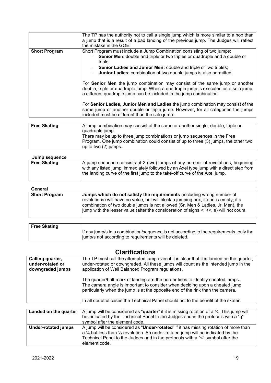|                      | The TP has the authority not to call a single jump which is more similar to a hop than<br>a jump that is a result of a bad landing of the previous jump. The Judges will reflect<br>the mistake in the GOE.                               |
|----------------------|-------------------------------------------------------------------------------------------------------------------------------------------------------------------------------------------------------------------------------------------|
| <b>Short Program</b> | Short Program must include a Jump Combination consisting of two jumps:                                                                                                                                                                    |
|                      | Senior Men: double and triple or two triples or quadruple and a double or<br>triple;                                                                                                                                                      |
|                      | <b>Senior Ladies and Junior Men:</b> double and triple or two triples;                                                                                                                                                                    |
|                      | Junior Ladies: combination of two double jumps is also permitted.                                                                                                                                                                         |
|                      | For Senior Men the jump combination may consist of the same jump or another<br>double, triple or quadruple jump. When a quadruple jump is executed as a solo jump,<br>a different quadruple jump can be included in the jump combination. |
|                      | For Senior Ladies, Junior Men and Ladies the jump combination may consist of the<br>same jump or another double or triple jump. However, for all categories the jumps<br>included must be different than the solo jump.                   |
|                      |                                                                                                                                                                                                                                           |
| <b>Free Skating</b>  | A jump combination may consist of the same or another single, double, triple or                                                                                                                                                           |

| <b>Free Skating</b> | A jump combination may consist of the same or another single, double, triple or     |
|---------------------|-------------------------------------------------------------------------------------|
|                     | quadruple jump.                                                                     |
|                     | There may be up to three jump combinations or jump sequences in the Free            |
|                     | Program. One jump combination could consist of up to three (3) jumps, the other two |
|                     | up to two (2) jumps.                                                                |

#### **Jump sequence**

| <b>OWNIP OUGHUILDU</b> |                                                                                                                                                                                                                                                             |
|------------------------|-------------------------------------------------------------------------------------------------------------------------------------------------------------------------------------------------------------------------------------------------------------|
| <b>Free Skating</b>    | A jump sequence consists of 2 (two) jumps of any number of revolutions, beginning<br>with any listed jump, immediately followed by an Axel type jump with a direct step from<br>the landing curve of the first jump to the take-off curve of the Axel jump. |
|                        |                                                                                                                                                                                                                                                             |

#### **General**

| -------              |                                                                                                                                                                                                                                                                                                                                                             |
|----------------------|-------------------------------------------------------------------------------------------------------------------------------------------------------------------------------------------------------------------------------------------------------------------------------------------------------------------------------------------------------------|
| <b>Short Program</b> | <b>Jumps which do not satisfy the requirements</b> (including wrong number of<br>revolutions) will have no value, but will block a jumping box, if one is empty; if a<br>combination of two double jumps is not allowed (Sr. Men & Ladies, Jr. Men), the<br>jump with the lesser value (after the consideration of signs $\lt$ , $\lt$ , e) will not count. |
|                      |                                                                                                                                                                                                                                                                                                                                                             |
|                      |                                                                                                                                                                                                                                                                                                                                                             |

| <b>Free Skating</b> |                                                                                                                                                 |
|---------------------|-------------------------------------------------------------------------------------------------------------------------------------------------|
|                     | If any jump/s in a combination/sequence is not according to the requirements, only the<br>jump/s not according to requirements will be deleted. |

# **Clarifications**

| Calling quarter,<br>under-rotated or<br>downgraded jumps | The TP must call the attempted jump even if it is clear that it is landed on the quarter,<br>under-rotated or downgraded. All these jumps will count as the intended jump in the<br>application of Well Balanced Program regulations.                                                                                                   |
|----------------------------------------------------------|-----------------------------------------------------------------------------------------------------------------------------------------------------------------------------------------------------------------------------------------------------------------------------------------------------------------------------------------|
|                                                          | The quarter/half mark of landing are the border lines to identify cheated jumps.<br>The camera angle is important to consider when deciding upon a cheated jump<br>particularly when the jump is at the opposite end of the rink than the camera.<br>In all doubtful cases the Technical Panel should act to the benefit of the skater. |
|                                                          |                                                                                                                                                                                                                                                                                                                                         |

|                            | <b>Landed on the quarter</b>   A jump will be considered as " <b>quarter</b> " if it is missing rotation of a $\frac{1}{4}$ . This jump will |
|----------------------------|----------------------------------------------------------------------------------------------------------------------------------------------|
|                            | be indicated by the Technical Panel to the Judges and in the protocols with a "q"                                                            |
|                            | symbol after the element code.                                                                                                               |
| <b>Under-rotated jumps</b> | A jump will be considered as " <b>Under-rotated</b> " if it has missing rotation of more than                                                |
|                            | a $\frac{1}{4}$ but less than $\frac{1}{2}$ revolution. An under-rotated jump will be indicated by the                                       |
|                            | Technical Panel to the Judges and in the protocols with a "<" symbol after the                                                               |
|                            | element code.                                                                                                                                |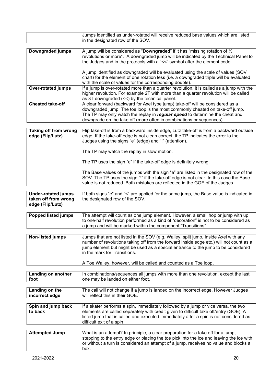|                           | Jumps identified as under-rotated will receive reduced base values which are listed<br>in the designated row of the SOV.                                                                                                                                                                                               |
|---------------------------|------------------------------------------------------------------------------------------------------------------------------------------------------------------------------------------------------------------------------------------------------------------------------------------------------------------------|
|                           |                                                                                                                                                                                                                                                                                                                        |
| Downgraded jumps          | A jump will be considered as "Downgraded" if it has "missing rotation of $\frac{1}{2}$<br>revolutions or more". A downgraded jump will be indicated by the Technical Panel to<br>the Judges and in the protocols with a "<<" symbol after the element code.                                                            |
|                           | A jump identified as downgraded will be evaluated using the scale of values (SOV<br>chart) for the element of one rotation less (i.e. a downgraded triple will be evaluated<br>with the scale of values for the corresponding double).                                                                                 |
| <b>Over-rotated jumps</b> | If a jump is over-rotated more than a quarter revolution, it is called as a jump with the<br>higher revolution. For example 2T with more than a quarter revolution will be called<br>as 3T downgraded $(\leq)$ by the technical panel.                                                                                 |
| <b>Cheated take-off</b>   | A clear forward (backward for Axel type jump) take-off will be considered as a<br>downgraded jump. The toe loop is the most commonly cheated on take-off jump.<br>The TP may only watch the replay in regular speed to determine the cheat and<br>downgrade on the take off (more often in combinations or sequences). |

| Taking off from wrong<br>edge (Flip/Lutz) | Flip take-off is from a backward inside edge, Lutz take-off is from a backward outside<br>edge. If the take-off edge is not clean correct, the TP indicates the error to the<br>Judges using the signs "e" (edge) and "!" (attention).                          |
|-------------------------------------------|-----------------------------------------------------------------------------------------------------------------------------------------------------------------------------------------------------------------------------------------------------------------|
|                                           | The TP may watch the replay in slow motion.                                                                                                                                                                                                                     |
|                                           | The TP uses the sign "e" if the take-off edge is definitely wrong.                                                                                                                                                                                              |
|                                           | The Base values of the jumps with the sign "e" are listed in the designated row of the<br>SOV. The TP uses the sign "!" if the take-off edge is not clear. In this case the Base<br>value is not reduced. Both mistakes are reflected in the GOE of the Judges. |

| <b>Under-rotated jumps</b> | If both signs "e" and "<" are applied for the same jump, the Base value is indicated in |
|----------------------------|-----------------------------------------------------------------------------------------|
| taken off from wrong       | the designated row of the SOV.                                                          |
| edge (Flip/Lutz)           |                                                                                         |

| <b>Popped listed jumps</b> | The attempt will count as one jump element. However, a small hop or jump with up<br>to one-half revolution performed as a kind of "decoration" is not to be considered as<br>a jump and will be marked within the component "Transitions".                                                                                                                              |
|----------------------------|-------------------------------------------------------------------------------------------------------------------------------------------------------------------------------------------------------------------------------------------------------------------------------------------------------------------------------------------------------------------------|
|                            |                                                                                                                                                                                                                                                                                                                                                                         |
| <b>Non-listed jumps</b>    | Jumps that are not listed in the SOV (e.g. Walley, split jump, Inside Axel with any<br>number of revolutions taking off from the forward inside edge etc.) will not count as a<br>jump element but might be used as a special entrance to the jump to be considered<br>in the mark for Transitions.<br>A Toe Walley, however, will be called and counted as a Toe loop. |

| Landing on another | In combinations/sequences all jumps with more than one revolution, except the last |
|--------------------|------------------------------------------------------------------------------------|
| foot               | one may be landed on either foot.                                                  |
|                    |                                                                                    |

| The call will not change if a jump is landed on the incorrect edge. However Judges<br>Landing on the<br>will reflect this in their GOE.<br>incorrect edge |
|-----------------------------------------------------------------------------------------------------------------------------------------------------------|
|-----------------------------------------------------------------------------------------------------------------------------------------------------------|

| Spin and jump back<br>to back | If a skater performs a spin, immediately followed by a jump or vice versa, the two<br>elements are called separately with credit given to difficult take off/entry (GOE). A<br>listed jump that is called and executed immediately after a spin is not considered as<br>difficult exit of a spin. |
|-------------------------------|---------------------------------------------------------------------------------------------------------------------------------------------------------------------------------------------------------------------------------------------------------------------------------------------------|
| <b>Attempted Jump</b>         | What is an attempt? In principle, a clear preparation for a take off for a jump,<br>stepping to the entry edge or placing the toe pick into the ice and leaving the ice with<br>or without a turn is considered an attempt of a jump, receives no value and blocks a                              |

box.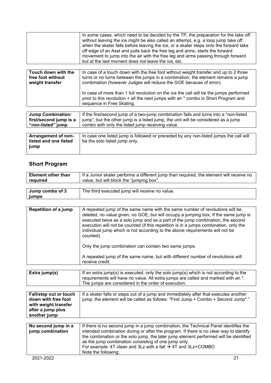| In some cases, which need to be decided by the TP, the preparation for the take off<br>without leaving the ice might be also called an attempt, e.g. a loop jump take off<br>when the skater falls before leaving the ice, or a skater steps onto the forward take<br>off edge of an Axel and pulls back the free leg and arms, starts the forward |
|----------------------------------------------------------------------------------------------------------------------------------------------------------------------------------------------------------------------------------------------------------------------------------------------------------------------------------------------------|
| movement to jump into the air with the free leg and arms passing through forward                                                                                                                                                                                                                                                                   |
| but at the last moment does not leave the ice, etc.                                                                                                                                                                                                                                                                                                |

| Touch down with the<br>free foot without<br>weight transfer             | In case of a touch down with the free foot without weight transfer and up to 2 three<br>turns or no turns between the jumps in a combination, the element remains a jump<br>combination (however Judges will reduce the GOE because of error). |  |
|-------------------------------------------------------------------------|------------------------------------------------------------------------------------------------------------------------------------------------------------------------------------------------------------------------------------------------|--|
|                                                                         | In case of more than 1 full revolution on the ice the call will be the jumps performed<br>prior to this revolution + all the next jumps with an * combo in Short Program and<br>sequence in Free Skating.                                      |  |
|                                                                         |                                                                                                                                                                                                                                                |  |
| <b>Jump Combination:</b><br>first/second jump is a<br>"non-listed" jump | If the first/second jump of a two-jump combination fails and turns into a "non-listed"<br>jump", but the other jump is a listed jump, the unit will be considered as a jump<br>combo with only the listed jump receiving value.                |  |
|                                                                         |                                                                                                                                                                                                                                                |  |
| A www.communication.com                                                 | بالأبيد الممرموطة وموموريا لموامعا أنموم يرومون بوارام اموموه ويوسط والمستعد والمؤرمة والمستحدث والمستروم وممورونا                                                                                                                             |  |

| In case one listed jump is followed or preceded by any non-listed jumps the call will<br>be the solo listed jump only. |
|------------------------------------------------------------------------------------------------------------------------|
|                                                                                                                        |
|                                                                                                                        |

# **Short Program**

**jumps**

| <b>Element other than</b><br>required | If a Junior skater performs a different jump than required, the element will receive no<br>value, but will block the "jumping box". |
|---------------------------------------|-------------------------------------------------------------------------------------------------------------------------------------|
|                                       |                                                                                                                                     |
| Jump combo of 3<br>iumne              | The third executed jump will receive no value.                                                                                      |

| <b>Repetition of a jump</b> | A repeated jump of the same name with the same number of revolutions will be<br>deleted, no value given, no GOE, but will occupy a jumping box; If the same jump is<br>executed twice as a solo jump and as a part of the jump combination, the second<br>execution will not be counted (if this repetition is in a jumps combination, only the<br>individual jump which is not according to the above requirements will not be<br>counted). |
|-----------------------------|----------------------------------------------------------------------------------------------------------------------------------------------------------------------------------------------------------------------------------------------------------------------------------------------------------------------------------------------------------------------------------------------------------------------------------------------|
|                             | Only the jump combination can contain two same jumps.                                                                                                                                                                                                                                                                                                                                                                                        |
|                             | A repeated jump of the same name, but with different number of revolutions will<br>receive credit.                                                                                                                                                                                                                                                                                                                                           |

| Extra jump(s) | If an extra jump(s) is executed, only the solo jump(s) which is not according to the<br>requirements will have no value. All extra jumps are called and marked with an *.<br>The jumps are considered in the order of execution. |
|---------------|----------------------------------------------------------------------------------------------------------------------------------------------------------------------------------------------------------------------------------|
|               |                                                                                                                                                                                                                                  |

| <b>Fall/step out or touch</b><br>down with free foot<br>with weight transfer<br>after a jump plus<br>another jump | If a skater falls or steps out of a jump and immediately after that executes another<br>jump, the element will be called as follows: "First Jump + Combo + Second Jump*."                                                                                                                                                                                                                                                          |
|-------------------------------------------------------------------------------------------------------------------|------------------------------------------------------------------------------------------------------------------------------------------------------------------------------------------------------------------------------------------------------------------------------------------------------------------------------------------------------------------------------------------------------------------------------------|
|                                                                                                                   |                                                                                                                                                                                                                                                                                                                                                                                                                                    |
| No second jump in a<br>jump combination                                                                           | If there is no second jump in a jump combination, the Technical Panel identifies the<br>intended combination during or after the program. If there is no clear way to identify<br>the combination or the solo jump, the later jump element performed will be identified<br>as the jump combination consisting of one jump only.<br>For example: 4T clean and 3Lz with a fall $\rightarrow$ 4T and 3Lz+COMBO<br>Note the following: |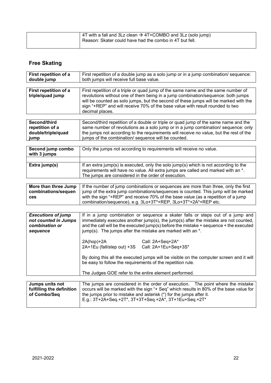| $\vert$ 4T with a fall and 3Lz clean $\rightarrow$ 4T+COMBO and 3Lz (solo jump)<br>Reason: Skater could have had the combo in 4T but fell. |
|--------------------------------------------------------------------------------------------------------------------------------------------|
|--------------------------------------------------------------------------------------------------------------------------------------------|

# **Free Skating**

| First repetition of a<br>double jump               | First repetition of a double jump as a solo jump or in a jump combination/ sequence:<br>both jumps will receive full base value.                                                                                                                                                                                                                                  |  |
|----------------------------------------------------|-------------------------------------------------------------------------------------------------------------------------------------------------------------------------------------------------------------------------------------------------------------------------------------------------------------------------------------------------------------------|--|
|                                                    |                                                                                                                                                                                                                                                                                                                                                                   |  |
| First repetition of a<br>triple/quad jump          | First repetition of a triple or quad jump of the same name and the same number of<br>revolutions without one of them being in a jump combination/sequence: both jumps<br>will be counted as solo jumps, but the second of these jumps will be marked with the<br>sign "+REP" and will receive 70% of the base value with result rounded to two<br>decimal places. |  |
|                                                    |                                                                                                                                                                                                                                                                                                                                                                   |  |
| Second/third<br>repetition of a                    | Second/third repetition of a double or triple or quad jump of the same name and the<br>same number of revolutions as a solo jump or in a jump combination/ sequence: only                                                                                                                                                                                         |  |
| double/triple/quad                                 | the jumps not according to the requirements will receive no value, but the rest of the                                                                                                                                                                                                                                                                            |  |
| jump                                               | jumps of the combination/ sequence will be counted.                                                                                                                                                                                                                                                                                                               |  |
|                                                    |                                                                                                                                                                                                                                                                                                                                                                   |  |
| Second jump combo<br>with 3 jumps                  | Only the jumps not according to requirements will receive no value.                                                                                                                                                                                                                                                                                               |  |
|                                                    |                                                                                                                                                                                                                                                                                                                                                                   |  |
| Extra jump(s)                                      | If an extra jump(s) is executed, only the solo jump(s) which is not according to the<br>requirements will have no value. All extra jumps are called and marked with an *.<br>The jumps are considered in the order of execution.                                                                                                                                  |  |
|                                                    |                                                                                                                                                                                                                                                                                                                                                                   |  |
| More than three Jump<br>combinations/sequen<br>ces | If the number of jump combinations or sequences are more than three, only the first<br>jump of the extra jump combinations/sequences is counted. This jump will be marked<br>with the sign "+REP" and receive 70% of the base value (as a repetition of a jump<br>combination/sequence), e.g. 3Lo+3T*+REP, 3Lo+3T*+2A*+REP etc.                                   |  |
|                                                    |                                                                                                                                                                                                                                                                                                                                                                   |  |

| <b>Executions of jump</b><br>not counted in Jumps<br>combination or<br>sequence | If in a jump combination or sequence a skater falls or steps out of a jump and<br>immediately executes another jump(s), the jump(s) after the mistake are not counted,<br>and the call will be the executed jump(s) before the mistake + sequence + the executed<br>jump(s). The jumps after the mistake are marked with an $*$ . |                  |
|---------------------------------------------------------------------------------|-----------------------------------------------------------------------------------------------------------------------------------------------------------------------------------------------------------------------------------------------------------------------------------------------------------------------------------|------------------|
|                                                                                 | $2A(hop)+2A$<br>2A+1Eu (fall/step out) +3S Call: 2A+1Eu+Seq+3S*                                                                                                                                                                                                                                                                   | Call: 2A+Seq+2A* |
|                                                                                 | By doing this all the executed jumps will be visible on the computer screen and it will<br>be easy to follow the requirements of the repetition rule.<br>The Judges GOE refer to the entire element performed.                                                                                                                    |                  |
|                                                                                 |                                                                                                                                                                                                                                                                                                                                   |                  |

| Jumps units not           | The jumps are considered in the order of execution. The point where the mistake        |  |
|---------------------------|----------------------------------------------------------------------------------------|--|
| fulfilling the definition | occurs will be marked with the sign "+ Seg" which results in 80% of the base value for |  |
| of Combo/Seq              | the jumps prior to mistake and asterisk (*) for the jumps after it.                    |  |
|                           | E.g.: 3T+2A+Seq.+2T*, 3T+3T+Seq.+2A*, 3T+1Eu+Seq.+2T*                                  |  |
|                           |                                                                                        |  |